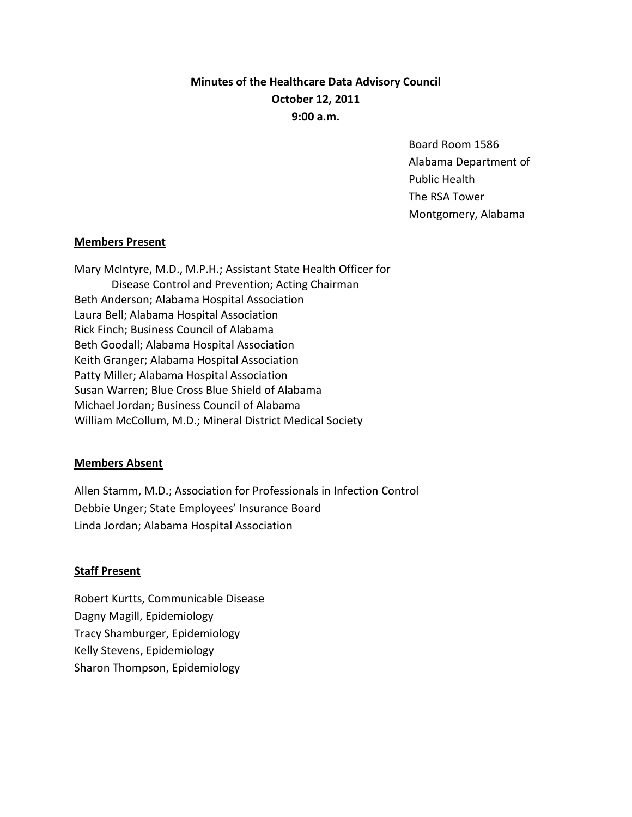# **Minutes of the Healthcare Data Advisory Council October 12, 2011 9:00 a.m.**

Board Room 1586 Alabama Department of Public Health The RSA Tower Montgomery, Alabama

## **Members Present**

Mary McIntyre, M.D., M.P.H.; Assistant State Health Officer for Disease Control and Prevention; Acting Chairman Beth Anderson; Alabama Hospital Association Laura Bell; Alabama Hospital Association Rick Finch; Business Council of Alabama Beth Goodall; Alabama Hospital Association Keith Granger; Alabama Hospital Association Patty Miller; Alabama Hospital Association Susan Warren; Blue Cross Blue Shield of Alabama Michael Jordan; Business Council of Alabama William McCollum, M.D.; Mineral District Medical Society

## **Members Absent**

Allen Stamm, M.D.; Association for Professionals in Infection Control Debbie Unger; State Employees' Insurance Board Linda Jordan; Alabama Hospital Association

## **Staff Present**

Robert Kurtts, Communicable Disease Dagny Magill, Epidemiology Tracy Shamburger, Epidemiology Kelly Stevens, Epidemiology Sharon Thompson, Epidemiology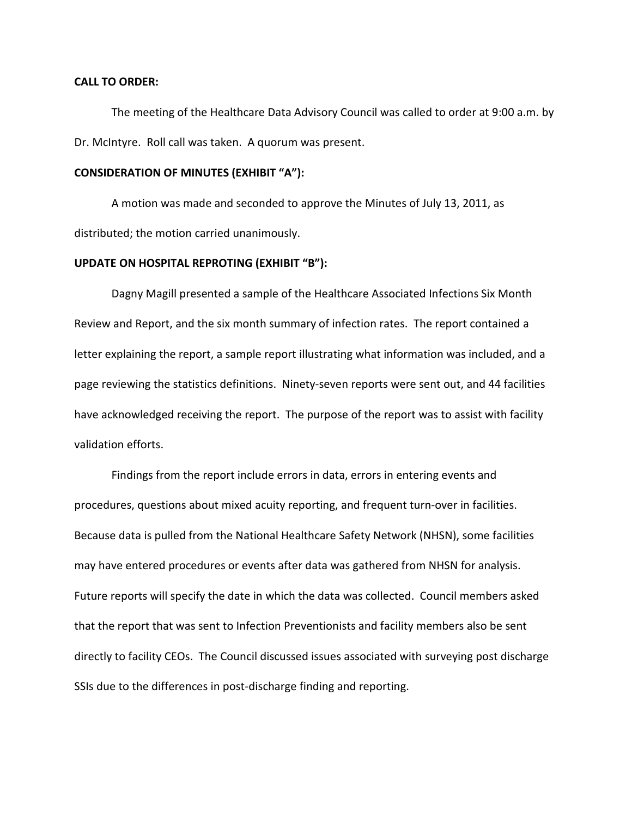#### **CALL TO ORDER:**

The meeting of the Healthcare Data Advisory Council was called to order at 9:00 a.m. by Dr. McIntyre. Roll call was taken. A quorum was present.

## **CONSIDERATION OF MINUTES (EXHIBIT "A"):**

A motion was made and seconded to approve the Minutes of July 13, 2011, as distributed; the motion carried unanimously.

#### **UPDATE ON HOSPITAL REPROTING (EXHIBIT "B"):**

Dagny Magill presented a sample of the Healthcare Associated Infections Six Month Review and Report, and the six month summary of infection rates. The report contained a letter explaining the report, a sample report illustrating what information was included, and a page reviewing the statistics definitions. Ninety-seven reports were sent out, and 44 facilities have acknowledged receiving the report. The purpose of the report was to assist with facility validation efforts.

Findings from the report include errors in data, errors in entering events and procedures, questions about mixed acuity reporting, and frequent turn-over in facilities. Because data is pulled from the National Healthcare Safety Network (NHSN), some facilities may have entered procedures or events after data was gathered from NHSN for analysis. Future reports will specify the date in which the data was collected. Council members asked that the report that was sent to Infection Preventionists and facility members also be sent directly to facility CEOs. The Council discussed issues associated with surveying post discharge SSIs due to the differences in post-discharge finding and reporting.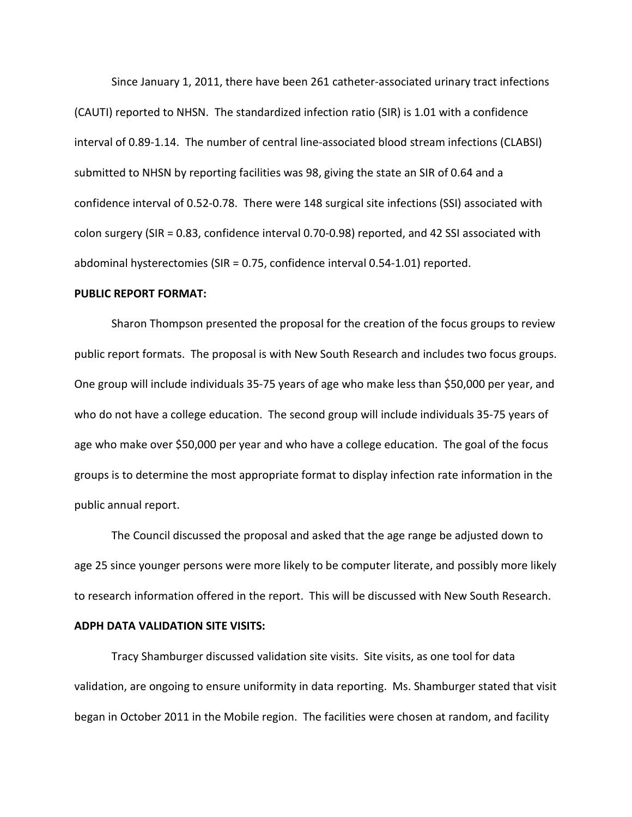Since January 1, 2011, there have been 261 catheter-associated urinary tract infections (CAUTI) reported to NHSN. The standardized infection ratio (SIR) is 1.01 with a confidence interval of 0.89-1.14. The number of central line-associated blood stream infections (CLABSI) submitted to NHSN by reporting facilities was 98, giving the state an SIR of 0.64 and a confidence interval of 0.52-0.78. There were 148 surgical site infections (SSI) associated with colon surgery (SIR = 0.83, confidence interval 0.70-0.98) reported, and 42 SSI associated with abdominal hysterectomies (SIR = 0.75, confidence interval 0.54-1.01) reported.

#### **PUBLIC REPORT FORMAT:**

Sharon Thompson presented the proposal for the creation of the focus groups to review public report formats. The proposal is with New South Research and includes two focus groups. One group will include individuals 35-75 years of age who make less than \$50,000 per year, and who do not have a college education. The second group will include individuals 35-75 years of age who make over \$50,000 per year and who have a college education. The goal of the focus groups is to determine the most appropriate format to display infection rate information in the public annual report.

The Council discussed the proposal and asked that the age range be adjusted down to age 25 since younger persons were more likely to be computer literate, and possibly more likely to research information offered in the report. This will be discussed with New South Research.

## **ADPH DATA VALIDATION SITE VISITS:**

Tracy Shamburger discussed validation site visits. Site visits, as one tool for data validation, are ongoing to ensure uniformity in data reporting. Ms. Shamburger stated that visit began in October 2011 in the Mobile region. The facilities were chosen at random, and facility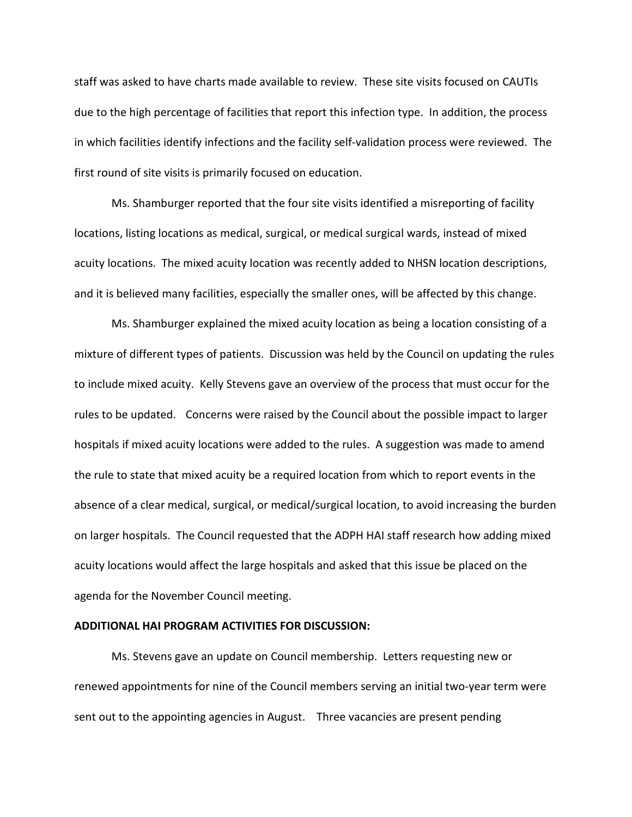staff was asked to have charts made available to review. These site visits focused on CAUTIs due to the high percentage of facilities that report this infection type. In addition, the process in which facilities identify infections and the facility self-validation process were reviewed. The first round of site visits is primarily focused on education.

Ms. Shamburger reported that the four site visits identified a misreporting of facility locations, listing locations as medical, surgical, or medical surgical wards, instead of mixed acuity locations. The mixed acuity location was recently added to NHSN location descriptions, and it is believed many facilities, especially the smaller ones, will be affected by this change.

Ms. Shamburger explained the mixed acuity location as being a location consisting of a mixture of different types of patients. Discussion was held by the Council on updating the rules to include mixed acuity. Kelly Stevens gave an overview of the process that must occur for the rules to be updated. Concerns were raised by the Council about the possible impact to larger hospitals if mixed acuity locations were added to the rules. A suggestion was made to amend the rule to state that mixed acuity be a required location from which to report events in the absence of a clear medical, surgical, or medical/surgical location, to avoid increasing the burden on larger hospitals. The Council requested that the ADPH HAI staff research how adding mixed acuity locations would affect the large hospitals and asked that this issue be placed on the agenda for the November Council meeting.

## **ADDITIONAL HAI PROGRAM ACTIVITIES FOR DISCUSSION:**

Ms. Stevens gave an update on Council membership. Letters requesting new or renewed appointments for nine of the Council members serving an initial two-year term were sent out to the appointing agencies in August. Three vacancies are present pending